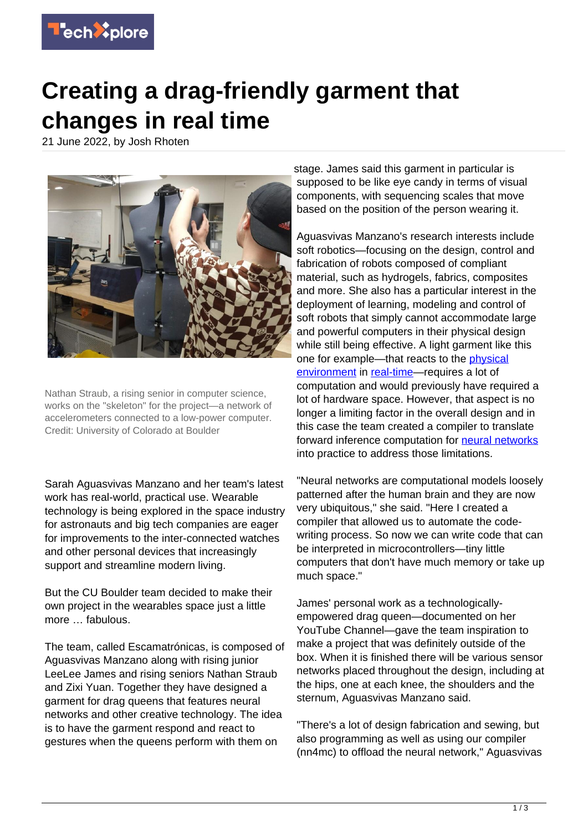

## **Creating a drag-friendly garment that changes in real time**

21 June 2022, by Josh Rhoten



Nathan Straub, a rising senior in computer science, works on the "skeleton" for the project—a network of accelerometers connected to a low-power computer. Credit: University of Colorado at Boulder

Sarah Aguasvivas Manzano and her team's latest work has real-world, practical use. Wearable technology is being explored in the space industry for astronauts and big tech companies are eager for improvements to the inter-connected watches and other personal devices that increasingly support and streamline modern living.

But the CU Boulder team decided to make their own project in the wearables space just a little more … fabulous.

The team, called Escamatrónicas, is composed of Aguasvivas Manzano along with rising junior LeeLee James and rising seniors Nathan Straub and Zixi Yuan. Together they have designed a garment for drag queens that features neural networks and other creative technology. The idea is to have the garment respond and react to gestures when the queens perform with them on

stage. James said this garment in particular is supposed to be like eye candy in terms of visual components, with sequencing scales that move based on the position of the person wearing it.

Aguasvivas Manzano's research interests include soft robotics—focusing on the design, control and fabrication of robots composed of compliant material, such as hydrogels, fabrics, composites and more. She also has a particular interest in the deployment of learning, modeling and control of soft robots that simply cannot accommodate large and powerful computers in their physical design while still being effective. A light garment like this one for example—that reacts to the [physical](https://techxplore.com/tags/physical+environment/) [environment](https://techxplore.com/tags/physical+environment/) in [real-time](https://techxplore.com/tags/real-time/)—requires a lot of computation and would previously have required a lot of hardware space. However, that aspect is no longer a limiting factor in the overall design and in this case the team created a compiler to translate forward inference computation for [neural networks](https://techxplore.com/tags/neural+networks/) into practice to address those limitations.

"Neural networks are computational models loosely patterned after the human brain and they are now very ubiquitous," she said. "Here I created a compiler that allowed us to automate the codewriting process. So now we can write code that can be interpreted in microcontrollers—tiny little computers that don't have much memory or take up much space."

James' personal work as a technologicallyempowered drag queen—documented on her YouTube Channel—gave the team inspiration to make a project that was definitely outside of the box. When it is finished there will be various sensor networks placed throughout the design, including at the hips, one at each knee, the shoulders and the sternum, Aguasvivas Manzano said.

"There's a lot of design fabrication and sewing, but also programming as well as using our compiler (nn4mc) to offload the neural network," Aguasvivas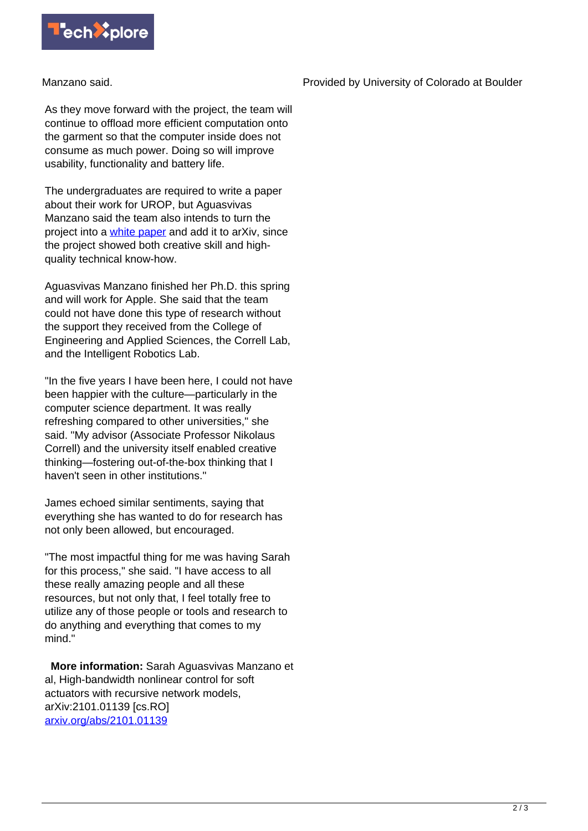

Manzano said.

As they move forward with the project, the team will continue to offload more efficient computation onto the garment so that the computer inside does not consume as much power. Doing so will improve usability, functionality and battery life.

The undergraduates are required to write a paper about their work for UROP, but Aguasvivas Manzano said the team also intends to turn the project into a [white paper](https://techxplore.com/tags/white+paper/) and add it to arXiv, since the project showed both creative skill and highquality technical know-how.

Aguasvivas Manzano finished her Ph.D. this spring and will work for Apple. She said that the team could not have done this type of research without the support they received from the College of Engineering and Applied Sciences, the Correll Lab, and the Intelligent Robotics Lab.

"In the five years I have been here, I could not have been happier with the culture—particularly in the computer science department. It was really refreshing compared to other universities," she said. "My advisor (Associate Professor Nikolaus Correll) and the university itself enabled creative thinking—fostering out-of-the-box thinking that I haven't seen in other institutions."

James echoed similar sentiments, saying that everything she has wanted to do for research has not only been allowed, but encouraged.

"The most impactful thing for me was having Sarah for this process," she said. "I have access to all these really amazing people and all these resources, but not only that, I feel totally free to utilize any of those people or tools and research to do anything and everything that comes to my mind."

 **More information:** Sarah Aguasvivas Manzano et al, High-bandwidth nonlinear control for soft actuators with recursive network models, arXiv:2101.01139 [cs.RO] [arxiv.org/abs/2101.01139](https://arxiv.org/abs/2101.01139)

Provided by University of Colorado at Boulder